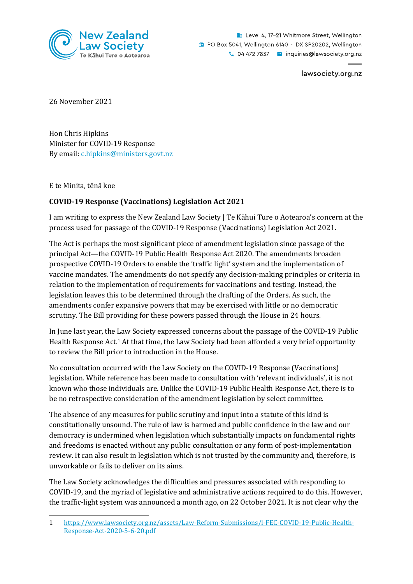

Level 4, 17-21 Whitmore Street, Wellington **D** PO Box 5041, Wellington 6140 · DX SP20202, Wellington  $\sim$  04 472 7837  $\cdot$   $\sim$  inquiries@lawsociety.org.nz

lawsociety.org.nz

26 November 2021

Hon Chris Hipkins Minister for COVID-19 Response By email: [c.hipkins@ministers.govt.nz](mailto:c.hipkins@ministers.govt.nz)

E te Minita, tēnā koe

## **COVID-19 Response (Vaccinations) Legislation Act 2021**

I am writing to express the New Zealand Law Society | Te Kāhui Ture o Aotearoa's concern at the process used for passage of the COVID-19 Response (Vaccinations) Legislation Act 2021.

The Act is perhaps the most significant piece of amendment legislation since passage of the principal Act—the COVID-19 Public Health Response Act 2020. The amendments broaden prospective COVID-19 Orders to enable the 'traffic light' system and the implementation of vaccine mandates. The amendments do not specify any decision-making principles or criteria in relation to the implementation of requirements for vaccinations and testing. Instead, the legislation leaves this to be determined through the drafting of the Orders. As such, the amendments confer expansive powers that may be exercised with little or no democratic scrutiny. The Bill providing for these powers passed through the House in 24 hours.

In June last year, the Law Society expressed concerns about the passage of the COVID-19 Public Health Response Act.<sup>1</sup> At that time, the Law Society had been afforded a very brief opportunity to review the Bill prior to introduction in the House.

No consultation occurred with the Law Society on the COVID-19 Response (Vaccinations) legislation. While reference has been made to consultation with 'relevant individuals', it is not known who those individuals are. Unlike the COVID-19 Public Health Response Act, there is to be no retrospective consideration of the amendment legislation by select committee.

The absence of any measures for public scrutiny and input into a statute of this kind is constitutionally unsound. The rule of law is harmed and public confidence in the law and our democracy is undermined when legislation which substantially impacts on fundamental rights and freedoms is enacted without any public consultation or any form of post-implementation review. It can also result in legislation which is not trusted by the community and, therefore, is unworkable or fails to deliver on its aims.

The Law Society acknowledges the difficulties and pressures associated with responding to COVID-19, and the myriad of legislative and administrative actions required to do this. However, the traffic-light system was announced a month ago, on 22 October 2021. It is not clear why the

<sup>1</sup> [https://www.lawsociety.org.nz/assets/Law-Reform-Submissions/l-FEC-COVID-19-Public-Health-](https://www.lawsociety.org.nz/assets/Law-Reform-Submissions/l-FEC-COVID-19-Public-Health-Response-Act-2020-5-6-20.pdf)[Response-Act-2020-5-6-20.pdf](https://www.lawsociety.org.nz/assets/Law-Reform-Submissions/l-FEC-COVID-19-Public-Health-Response-Act-2020-5-6-20.pdf)